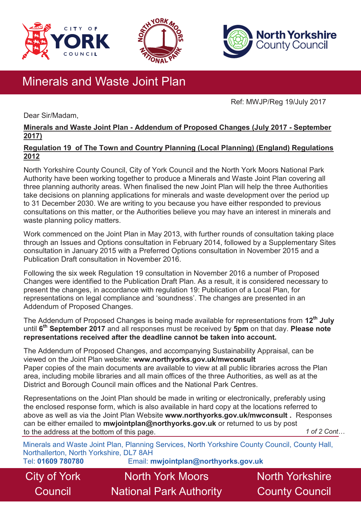





# Minerals and Waste Joint Plan

Ref: MWJP/Reg 19/July 2017

Dear Sir/Madam,

# **Minerals and Waste Joint Plan - Addendum of Proposed Changes (July 2017 - September 2017)**

### **Regulation 19 of The Town and Country Planning (Local Planning) (England) Regulations 2012**

North Yorkshire County Council, City of York Council and the North York Moors National Park Authority have been working together to produce a Minerals and Waste Joint Plan covering all three planning authority areas. When finalised the new Joint Plan will help the three Authorities take decisions on planning applications for minerals and waste development over the period up to 31 December 2030. We are writing to you because you have either responded to previous consultations on this matter, or the Authorities believe you may have an interest in minerals and waste planning policy matters.

Work commenced on the Joint Plan in May 2013, with further rounds of consultation taking place through an Issues and Options consultation in February 2014, followed by a Supplementary Sites consultation in January 2015 with a Preferred Options consultation in November 2015 and a Publication Draft consultation in November 2016.

Following the six week Regulation 19 consultation in November 2016 a number of Proposed Changes were identified to the Publication Draft Plan. As a result, it is considered necessary to present the changes, in accordance with regulation 19: Publication of a Local Plan, for representations on legal compliance and 'soundness'. The changes are presented in an Addendum of Proposed Changes.

The Addendum of Proposed Changes is being made available for representations from **12th July**  until **6 th September 2017** and all responses must be received by **5pm** on that day. **Please note representations received after the deadline cannot be taken into account.** 

The Addendum of Proposed Changes, and accompanying Sustainability Appraisal, can be viewed on the Joint Plan website: **www.northyorks.gov.uk/mwconsult**  Paper copies of the main documents are available to view at all public libraries across the Plan area, including mobile libraries and all main offices of the three Authorities, as well as at the District and Borough Council main offices and the National Park Centres.

Representations on the Joint Plan should be made in writing or electronically, preferably using the enclosed response form, which is also available in hard copy at the locations referred to above as well as via the Joint Plan Website **www.northyorks.gov.uk/mwconsult .** Responses can be either emailed to **mwjointplan@northyorks.gov.uk** or returned to us by post to the address at the bottom of this page. *1 of 2 Cont…*

Minerals and Waste Joint Plan, Planning Services, North Yorkshire County Council, County Hall, Northallerton, North Yorkshire, DL7 8AH

City of York **Council** 

Tel: **01609 780780** Email: **mwjointplan@northyorks.gov.uk**

North York Moors National Park Authority North Yorkshire County Council